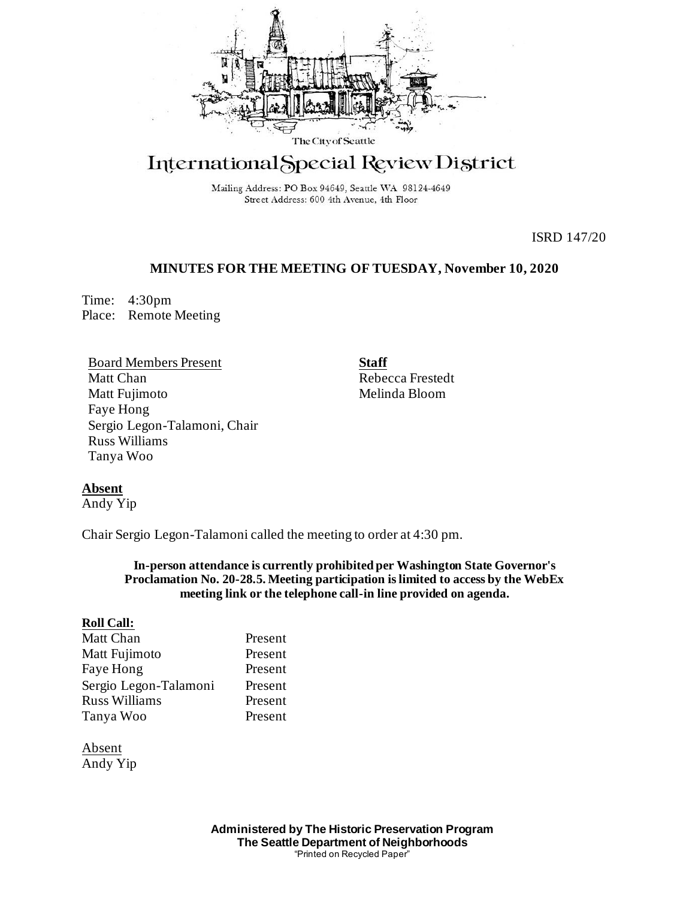

# International Special Review District

Mailing Address: PO Box 94649, Seattle WA 98124-4649 Street Address: 600 4th Avenue, 4th Floor

ISRD 147/20

## **MINUTES FOR THE MEETING OF TUESDAY, November 10, 2020**

Time: 4:30pm Place: Remote Meeting

Board Members Present Matt Chan Matt Fujimoto Faye Hong Sergio Legon-Talamoni, Chair Russ Williams Tanya Woo

**Staff** Rebecca Frestedt Melinda Bloom

## **Absent**

Andy Yip

Chair Sergio Legon-Talamoni called the meeting to order at 4:30 pm.

**In-person attendance is currently prohibited per Washington State Governor's Proclamation No. 20-28.5. Meeting participation is limited to access by the WebEx meeting link or the telephone call-in line provided on agenda.**

### **Roll Call:**

| Matt Chan             | Present |
|-----------------------|---------|
| Matt Fujimoto         | Present |
| Faye Hong             | Present |
| Sergio Legon-Talamoni | Present |
| <b>Russ Williams</b>  | Present |
| Tanya Woo             | Present |

Absent Andy Yip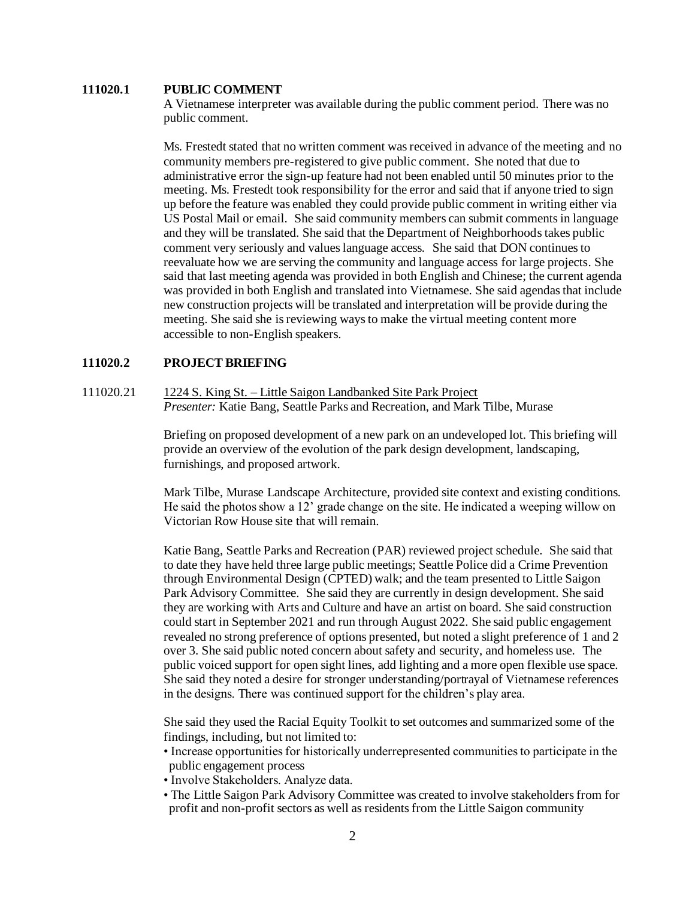#### **111020.1 PUBLIC COMMENT**

A Vietnamese interpreter was available during the public comment period. There was no public comment.

Ms. Frestedt stated that no written comment was received in advance of the meeting and no community members pre-registered to give public comment. She noted that due to administrative error the sign-up feature had not been enabled until 50 minutes prior to the meeting. Ms. Frestedt took responsibility for the error and said that if anyone tried to sign up before the feature was enabled they could provide public comment in writing either via US Postal Mail or email. She said community members can submit comments in language and they will be translated. She said that the Department of Neighborhoods takes public comment very seriously and valueslanguage access. She said that DON continues to reevaluate how we are serving the community and language access for large projects. She said that last meeting agenda was provided in both English and Chinese; the current agenda was provided in both English and translated into Vietnamese. She said agendas that include new construction projects will be translated and interpretation will be provide during the meeting. She said she is reviewing ways to make the virtual meeting content more accessible to non-English speakers.

#### **111020.2 PROJECT BRIEFING**

111020.21 1224 S. King St. – Little Saigon Landbanked Site Park Project *Presenter:* Katie Bang, Seattle Parks and Recreation, and Mark Tilbe, Murase

> Briefing on proposed development of a new park on an undeveloped lot. This briefing will provide an overview of the evolution of the park design development, landscaping, furnishings, and proposed artwork.

> Mark Tilbe, Murase Landscape Architecture, provided site context and existing conditions. He said the photos show a 12' grade change on the site. He indicated a weeping willow on Victorian Row House site that will remain.

> Katie Bang, Seattle Parks and Recreation (PAR) reviewed project schedule. She said that to date they have held three large public meetings; Seattle Police did a Crime Prevention through Environmental Design (CPTED) walk; and the team presented to Little Saigon Park Advisory Committee. She said they are currently in design development. She said they are working with Arts and Culture and have an artist on board. She said construction could start in September 2021 and run through August 2022. She said public engagement revealed no strong preference of options presented, but noted a slight preference of 1 and 2 over 3. She said public noted concern about safety and security, and homeless use. The public voiced support for open sight lines, add lighting and a more open flexible use space. She said they noted a desire for stronger understanding/portrayal of Vietnamese references in the designs. There was continued support for the children's play area.

> She said they used the Racial Equity Toolkit to set outcomes and summarized some of the findings, including, but not limited to:

- Increase opportunities for historically underrepresented communities to participate in the public engagement process
- Involve Stakeholders. Analyze data.
- The Little Saigon Park Advisory Committee was created to involve stakeholders from for profit and non-profit sectors as well as residents from the Little Saigon community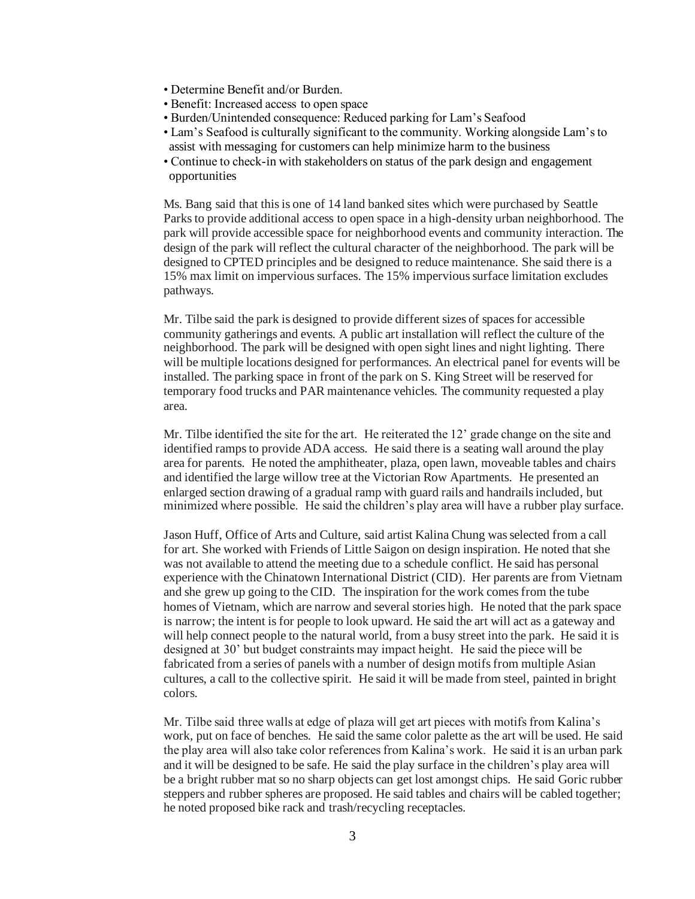- Determine Benefit and/or Burden.
- Benefit: Increased access to open space
- Burden/Unintended consequence: Reduced parking for Lam's Seafood
- Lam's Seafood is culturally significant to the community. Working alongside Lam's to assist with messaging for customers can help minimize harm to the business
- Continue to check-in with stakeholders on status of the park design and engagement opportunities

Ms. Bang said that this is one of 14 land banked sites which were purchased by Seattle Parks to provide additional access to open space in a high-density urban neighborhood. The park will provide accessible space for neighborhood events and community interaction. The design of the park will reflect the cultural character of the neighborhood. The park will be designed to CPTED principles and be designed to reduce maintenance. She said there is a 15% max limit on impervious surfaces. The 15% impervious surface limitation excludes pathways.

Mr. Tilbe said the park is designed to provide different sizes of spaces for accessible community gatherings and events. A public art installation will reflect the culture of the neighborhood. The park will be designed with open sight lines and night lighting. There will be multiple locations designed for performances. An electrical panel for events will be installed. The parking space in front of the park on S. King Street will be reserved for temporary food trucks and PAR maintenance vehicles. The community requested a play area.

Mr. Tilbe identified the site for the art. He reiterated the 12' grade change on the site and identified ramps to provide ADA access. He said there is a seating wall around the play area for parents. He noted the amphitheater, plaza, open lawn, moveable tables and chairs and identified the large willow tree at the Victorian Row Apartments. He presented an enlarged section drawing of a gradual ramp with guard rails and handrails included, but minimized where possible. He said the children's play area will have a rubber play surface.

Jason Huff, Office of Arts and Culture, said artist Kalina Chung was selected from a call for art. She worked with Friends of Little Saigon on design inspiration. He noted that she was not available to attend the meeting due to a schedule conflict. He said has personal experience with the Chinatown International District (CID). Her parents are from Vietnam and she grew up going to the CID. The inspiration for the work comes from the tube homes of Vietnam, which are narrow and several stories high. He noted that the park space is narrow; the intent is for people to look upward. He said the art will act as a gateway and will help connect people to the natural world, from a busy street into the park. He said it is designed at 30' but budget constraints may impact height. He said the piece will be fabricated from a series of panels with a number of design motifs from multiple Asian cultures, a call to the collective spirit. He said it will be made from steel, painted in bright colors.

Mr. Tilbe said three walls at edge of plaza will get art pieces with motifs from Kalina's work, put on face of benches. He said the same color palette as the art will be used. He said the play area will also take color references from Kalina's work. He said it is an urban park and it will be designed to be safe. He said the play surface in the children's play area will be a bright rubber mat so no sharp objects can get lost amongst chips. He said Goric rubber steppers and rubber spheres are proposed. He said tables and chairs will be cabled together; he noted proposed bike rack and trash/recycling receptacles.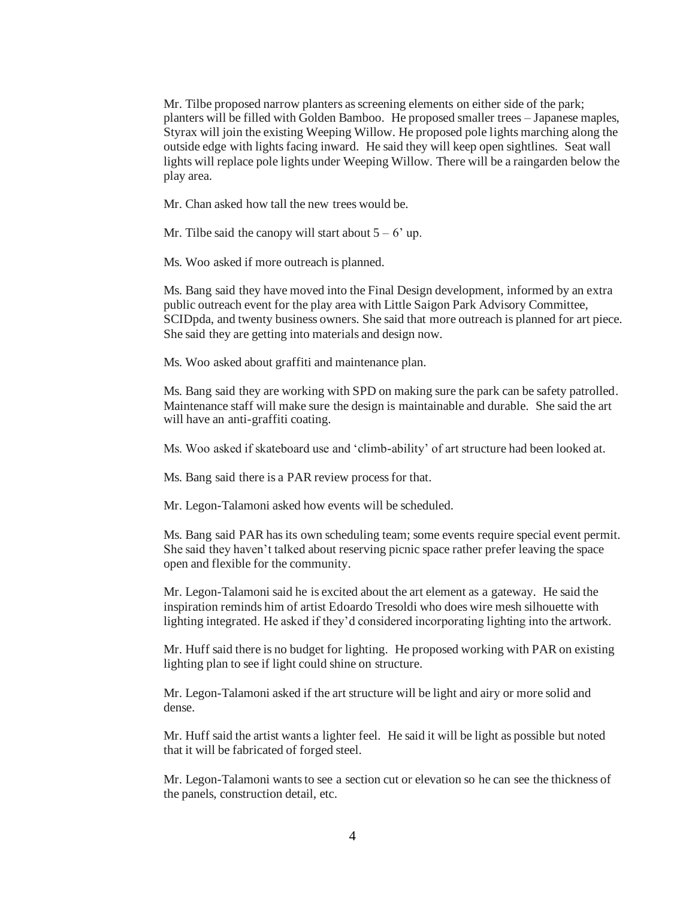Mr. Tilbe proposed narrow planters as screening elements on either side of the park; planters will be filled with Golden Bamboo. He proposed smaller trees – Japanese maples, Styrax will join the existing Weeping Willow. He proposed pole lights marching along the outside edge with lights facing inward. He said they will keep open sightlines. Seat wall lights will replace pole lights under Weeping Willow. There will be a raingarden below the play area.

Mr. Chan asked how tall the new trees would be.

Mr. Tilbe said the canopy will start about  $5 - 6'$  up.

Ms. Woo asked if more outreach is planned.

Ms. Bang said they have moved into the Final Design development, informed by an extra public outreach event for the play area with Little Saigon Park Advisory Committee, SCIDpda, and twenty business owners. She said that more outreach is planned for art piece. She said they are getting into materials and design now.

Ms. Woo asked about graffiti and maintenance plan.

Ms. Bang said they are working with SPD on making sure the park can be safety patrolled. Maintenance staff will make sure the design is maintainable and durable. She said the art will have an anti-graffiti coating.

Ms. Woo asked if skateboard use and 'climb-ability' of art structure had been looked at.

Ms. Bang said there is a PAR review process for that.

Mr. Legon-Talamoni asked how events will be scheduled.

Ms. Bang said PAR has its own scheduling team; some events require special event permit. She said they haven't talked about reserving picnic space rather prefer leaving the space open and flexible for the community.

Mr. Legon-Talamoni said he is excited about the art element as a gateway. He said the inspiration reminds him of artist Edoardo Tresoldi who does wire mesh silhouette with lighting integrated. He asked if they'd considered incorporating lighting into the artwork.

Mr. Huff said there is no budget for lighting. He proposed working with PAR on existing lighting plan to see if light could shine on structure.

Mr. Legon-Talamoni asked if the art structure will be light and airy or more solid and dense.

Mr. Huff said the artist wants a lighter feel. He said it will be light as possible but noted that it will be fabricated of forged steel.

Mr. Legon-Talamoni wants to see a section cut or elevation so he can see the thickness of the panels, construction detail, etc.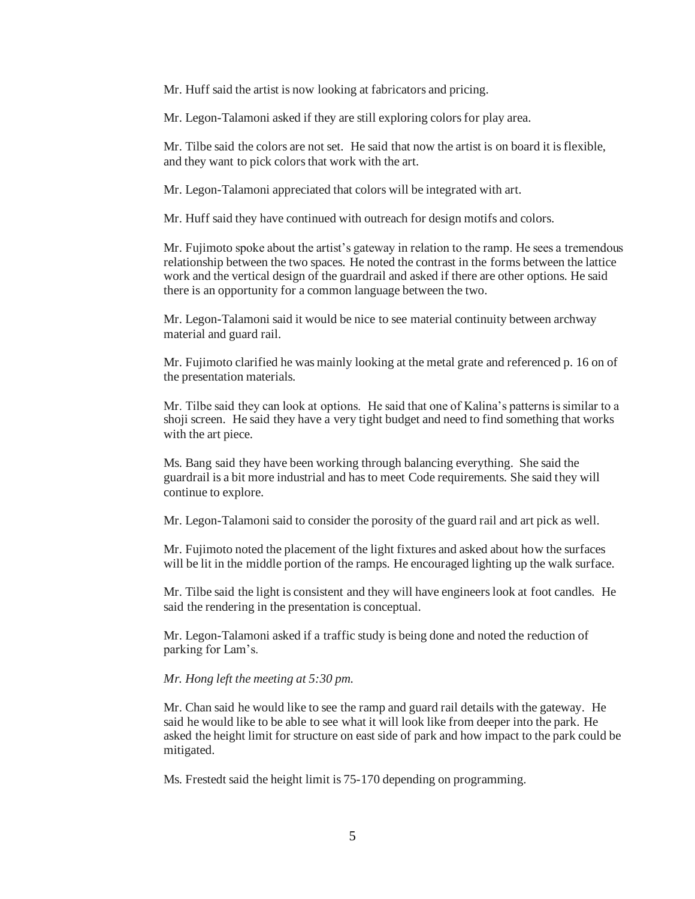Mr. Huff said the artist is now looking at fabricators and pricing.

Mr. Legon-Talamoni asked if they are still exploring colors for play area.

Mr. Tilbe said the colors are not set. He said that now the artist is on board it is flexible, and they want to pick colors that work with the art.

Mr. Legon-Talamoni appreciated that colors will be integrated with art.

Mr. Huff said they have continued with outreach for design motifs and colors.

Mr. Fujimoto spoke about the artist's gateway in relation to the ramp. He sees a tremendous relationship between the two spaces. He noted the contrast in the forms between the lattice work and the vertical design of the guardrail and asked if there are other options. He said there is an opportunity for a common language between the two.

Mr. Legon-Talamoni said it would be nice to see material continuity between archway material and guard rail.

Mr. Fujimoto clarified he was mainly looking at the metal grate and referenced p. 16 on of the presentation materials.

Mr. Tilbe said they can look at options. He said that one of Kalina's patterns is similar to a shoji screen. He said they have a very tight budget and need to find something that works with the art piece.

Ms. Bang said they have been working through balancing everything. She said the guardrail is a bit more industrial and has to meet Code requirements. She said they will continue to explore.

Mr. Legon-Talamoni said to consider the porosity of the guard rail and art pick as well.

Mr. Fujimoto noted the placement of the light fixtures and asked about how the surfaces will be lit in the middle portion of the ramps. He encouraged lighting up the walk surface.

Mr. Tilbe said the light is consistent and they will have engineers look at foot candles. He said the rendering in the presentation is conceptual.

Mr. Legon-Talamoni asked if a traffic study is being done and noted the reduction of parking for Lam's.

#### *Mr. Hong left the meeting at 5:30 pm.*

Mr. Chan said he would like to see the ramp and guard rail details with the gateway. He said he would like to be able to see what it will look like from deeper into the park. He asked the height limit for structure on east side of park and how impact to the park could be mitigated.

Ms. Frestedt said the height limit is 75-170 depending on programming.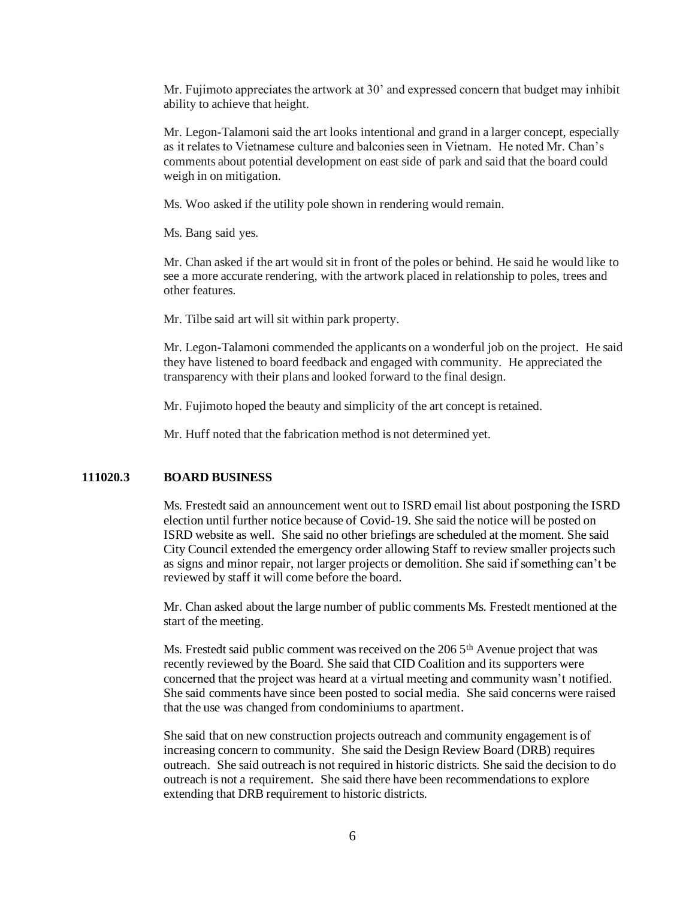Mr. Fujimoto appreciates the artwork at 30' and expressed concern that budget may inhibit ability to achieve that height.

Mr. Legon-Talamoni said the art looks intentional and grand in a larger concept, especially as it relates to Vietnamese culture and balconies seen in Vietnam. He noted Mr. Chan's comments about potential development on east side of park and said that the board could weigh in on mitigation.

Ms. Woo asked if the utility pole shown in rendering would remain.

Ms. Bang said yes.

Mr. Chan asked if the art would sit in front of the poles or behind. He said he would like to see a more accurate rendering, with the artwork placed in relationship to poles, trees and other features.

Mr. Tilbe said art will sit within park property.

Mr. Legon-Talamoni commended the applicants on a wonderful job on the project. He said they have listened to board feedback and engaged with community. He appreciated the transparency with their plans and looked forward to the final design.

Mr. Fujimoto hoped the beauty and simplicity of the art concept is retained.

Mr. Huff noted that the fabrication method is not determined yet.

#### **111020.3 BOARD BUSINESS**

Ms. Frestedt said an announcement went out to ISRD email list about postponing the ISRD election until further notice because of Covid-19. She said the notice will be posted on ISRD website as well. She said no other briefings are scheduled at the moment. She said City Council extended the emergency order allowing Staff to review smaller projects such as signs and minor repair, not larger projects or demolition. She said if something can't be reviewed by staff it will come before the board.

Mr. Chan asked about the large number of public comments Ms. Frestedt mentioned at the start of the meeting.

Ms. Frestedt said public comment was received on the 206 5<sup>th</sup> Avenue project that was recently reviewed by the Board. She said that CID Coalition and its supporters were concerned that the project was heard at a virtual meeting and community wasn't notified. She said comments have since been posted to social media. She said concerns were raised that the use was changed from condominiums to apartment.

She said that on new construction projects outreach and community engagement is of increasing concern to community. She said the Design Review Board (DRB) requires outreach. She said outreach is not required in historic districts. She said the decision to do outreach is not a requirement. She said there have been recommendations to explore extending that DRB requirement to historic districts.